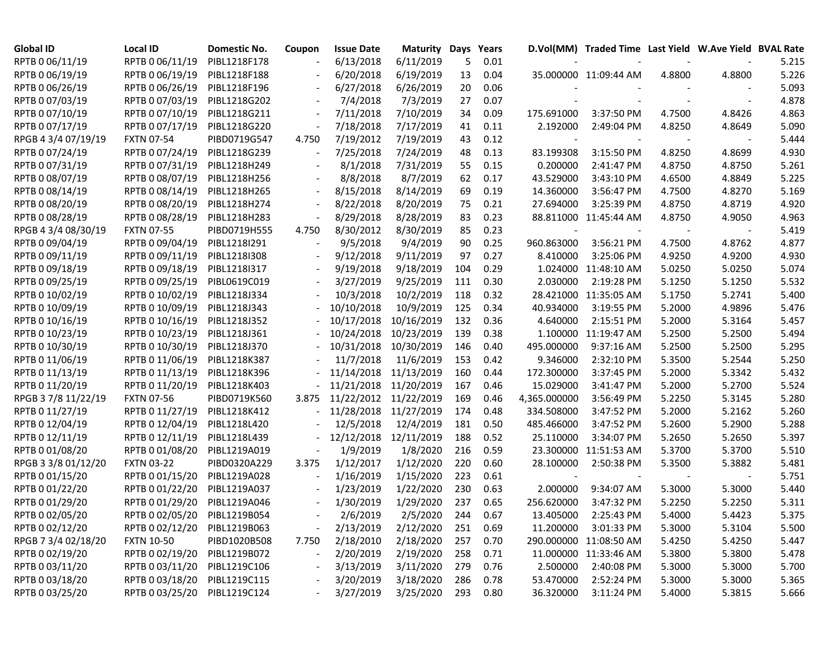| <b>Global ID</b>    | Local ID                     | Domestic No. | Coupon | <b>Issue Date</b> | <b>Maturity Days</b> |     | Years |                          | D.Vol(MM) Traded Time Last Yield W.Ave Yield BVAL Rate |        |        |       |
|---------------------|------------------------------|--------------|--------|-------------------|----------------------|-----|-------|--------------------------|--------------------------------------------------------|--------|--------|-------|
| RPTB 0 06/11/19     | RPTB 0 06/11/19              | PIBL1218F178 |        | 6/13/2018         | 6/11/2019            | 5   | 0.01  |                          |                                                        |        |        | 5.215 |
| RPTB 0 06/19/19     | RPTB 0 06/19/19              | PIBL1218F188 |        | 6/20/2018         | 6/19/2019            | 13  | 0.04  |                          | 35.000000 11:09:44 AM                                  | 4.8800 | 4.8800 | 5.226 |
| RPTB 0 06/26/19     | RPTB 0 06/26/19              | PIBL1218F196 |        | 6/27/2018         | 6/26/2019            | 20  | 0.06  |                          |                                                        |        |        | 5.093 |
| RPTB 0 07/03/19     | RPTB 0 07/03/19              | PIBL1218G202 |        | 7/4/2018          | 7/3/2019             | 27  | 0.07  |                          |                                                        |        |        | 4.878 |
| RPTB 0 07/10/19     | RPTB 0 07/10/19              | PIBL1218G211 |        | 7/11/2018         | 7/10/2019            | 34  | 0.09  | 175.691000               | 3:37:50 PM                                             | 4.7500 | 4.8426 | 4.863 |
| RPTB 0 07/17/19     | RPTB 0 07/17/19              | PIBL1218G220 |        | 7/18/2018         | 7/17/2019            | 41  | 0.11  | 2.192000                 | 2:49:04 PM                                             | 4.8250 | 4.8649 | 5.090 |
| RPGB 4 3/4 07/19/19 | <b>FXTN 07-54</b>            | PIBD0719G547 | 4.750  | 7/19/2012         | 7/19/2019            | 43  | 0.12  |                          |                                                        |        |        | 5.444 |
| RPTB 0 07/24/19     | RPTB 0 07/24/19              | PIBL1218G239 |        | 7/25/2018         | 7/24/2019            | 48  | 0.13  | 83.199308                | 3:15:50 PM                                             | 4.8250 | 4.8699 | 4.930 |
| RPTB 0 07/31/19     | RPTB 0 07/31/19              | PIBL1218H249 |        | 8/1/2018          | 7/31/2019            | 55  | 0.15  | 0.200000                 | 2:41:47 PM                                             | 4.8750 | 4.8750 | 5.261 |
| RPTB 0 08/07/19     | RPTB 0 08/07/19              | PIBL1218H256 |        | 8/8/2018          | 8/7/2019             | 62  | 0.17  | 43.529000                | 3:43:10 PM                                             | 4.6500 | 4.8849 | 5.225 |
| RPTB 0 08/14/19     | RPTB 0 08/14/19              | PIBL1218H265 |        | 8/15/2018         | 8/14/2019            | 69  | 0.19  | 14.360000                | 3:56:47 PM                                             | 4.7500 | 4.8270 | 5.169 |
| RPTB 0 08/20/19     | RPTB 0 08/20/19              | PIBL1218H274 |        | 8/22/2018         | 8/20/2019            | 75  | 0.21  | 27.694000                | 3:25:39 PM                                             | 4.8750 | 4.8719 | 4.920 |
| RPTB 0 08/28/19     | RPTB 0 08/28/19              | PIBL1218H283 |        | 8/29/2018         | 8/28/2019            | 83  | 0.23  |                          | 88.811000 11:45:44 AM                                  | 4.8750 | 4.9050 | 4.963 |
| RPGB 4 3/4 08/30/19 | <b>FXTN 07-55</b>            | PIBD0719H555 | 4.750  | 8/30/2012         | 8/30/2019            | 85  | 0.23  | $\overline{\phantom{a}}$ |                                                        |        |        | 5.419 |
| RPTB 0 09/04/19     | RPTB 0 09/04/19              | PIBL1218I291 |        | 9/5/2018          | 9/4/2019             | 90  | 0.25  | 960.863000               | 3:56:21 PM                                             | 4.7500 | 4.8762 | 4.877 |
| RPTB 0 09/11/19     | RPTB 0 09/11/19              | PIBL1218I308 |        | 9/12/2018         | 9/11/2019            | 97  | 0.27  | 8.410000                 | 3:25:06 PM                                             | 4.9250 | 4.9200 | 4.930 |
| RPTB 0 09/18/19     | RPTB 0 09/18/19              | PIBL1218I317 |        | 9/19/2018         | 9/18/2019            | 104 | 0.29  |                          | 1.024000 11:48:10 AM                                   | 5.0250 | 5.0250 | 5.074 |
| RPTB 0 09/25/19     | RPTB 0 09/25/19              | PIBL0619C019 |        | 3/27/2019         | 9/25/2019            | 111 | 0.30  | 2.030000                 | 2:19:28 PM                                             | 5.1250 | 5.1250 | 5.532 |
| RPTB 0 10/02/19     | RPTB 0 10/02/19              | PIBL1218J334 |        | 10/3/2018         | 10/2/2019            | 118 | 0.32  |                          | 28.421000 11:35:05 AM                                  | 5.1750 | 5.2741 | 5.400 |
| RPTB 0 10/09/19     | RPTB 0 10/09/19              | PIBL1218J343 |        | 10/10/2018        | 10/9/2019            | 125 | 0.34  | 40.934000                | 3:19:55 PM                                             | 5.2000 | 4.9896 | 5.476 |
| RPTB 0 10/16/19     | RPTB 0 10/16/19              | PIBL1218J352 |        | 10/17/2018        | 10/16/2019           | 132 | 0.36  | 4.640000                 | 2:15:51 PM                                             | 5.2000 | 5.3164 | 5.457 |
| RPTB 0 10/23/19     | RPTB 0 10/23/19              | PIBL1218J361 |        | 10/24/2018        | 10/23/2019           | 139 | 0.38  |                          | 1.100000 11:19:47 AM                                   | 5.2500 | 5.2500 | 5.494 |
| RPTB 0 10/30/19     | RPTB 0 10/30/19              | PIBL1218J370 |        | 10/31/2018        | 10/30/2019           | 146 | 0.40  | 495.000000               | 9:37:16 AM                                             | 5.2500 | 5.2500 | 5.295 |
| RPTB 0 11/06/19     | RPTB 0 11/06/19              | PIBL1218K387 |        | 11/7/2018         | 11/6/2019            | 153 | 0.42  | 9.346000                 | 2:32:10 PM                                             | 5.3500 | 5.2544 | 5.250 |
| RPTB 0 11/13/19     | RPTB 0 11/13/19              | PIBL1218K396 |        | 11/14/2018        | 11/13/2019           | 160 | 0.44  | 172.300000               | 3:37:45 PM                                             | 5.2000 | 5.3342 | 5.432 |
| RPTB 0 11/20/19     | RPTB 0 11/20/19              | PIBL1218K403 |        | 11/21/2018        | 11/20/2019           | 167 | 0.46  | 15.029000                | 3:41:47 PM                                             | 5.2000 | 5.2700 | 5.524 |
| RPGB 3 7/8 11/22/19 | <b>FXTN 07-56</b>            | PIBD0719K560 | 3.875  | 11/22/2012        | 11/22/2019           | 169 | 0.46  | 4,365.000000             | 3:56:49 PM                                             | 5.2250 | 5.3145 | 5.280 |
| RPTB 0 11/27/19     | RPTB 0 11/27/19              | PIBL1218K412 |        | 11/28/2018        | 11/27/2019           | 174 | 0.48  | 334.508000               | 3:47:52 PM                                             | 5.2000 | 5.2162 | 5.260 |
| RPTB 0 12/04/19     | RPTB 0 12/04/19              | PIBL1218L420 |        | 12/5/2018         | 12/4/2019            | 181 | 0.50  | 485.466000               | 3:47:52 PM                                             | 5.2600 | 5.2900 | 5.288 |
| RPTB 0 12/11/19     | RPTB 0 12/11/19              | PIBL1218L439 |        | 12/12/2018        | 12/11/2019           | 188 | 0.52  | 25.110000                | 3:34:07 PM                                             | 5.2650 | 5.2650 | 5.397 |
| RPTB 0 01/08/20     | RPTB 0 01/08/20              | PIBL1219A019 |        | 1/9/2019          | 1/8/2020             | 216 | 0.59  | 23.300000                | 11:51:53 AM                                            | 5.3700 | 5.3700 | 5.510 |
| RPGB 3 3/8 01/12/20 | <b>FXTN 03-22</b>            | PIBD0320A229 | 3.375  | 1/12/2017         | 1/12/2020            | 220 | 0.60  | 28.100000                | 2:50:38 PM                                             | 5.3500 | 5.3882 | 5.481 |
| RPTB 0 01/15/20     | RPTB 0 01/15/20              | PIBL1219A028 |        | 1/16/2019         | 1/15/2020            | 223 | 0.61  |                          |                                                        |        |        | 5.751 |
| RPTB 0 01/22/20     | RPTB 0 01/22/20              | PIBL1219A037 |        | 1/23/2019         | 1/22/2020            | 230 | 0.63  | 2.000000                 | 9:34:07 AM                                             | 5.3000 | 5.3000 | 5.440 |
| RPTB 0 01/29/20     | RPTB 0 01/29/20              | PIBL1219A046 |        | 1/30/2019         | 1/29/2020            | 237 | 0.65  | 256.620000               | 3:47:32 PM                                             | 5.2250 | 5.2250 | 5.311 |
| RPTB 0 02/05/20     | RPTB 0 02/05/20 PIBL1219B054 |              |        | 2/6/2019          | 2/5/2020             | 244 | 0.67  | 13.405000                | 2:25:43 PM                                             | 5.4000 | 5.4423 | 5.375 |
| RPTB 0 02/12/20     | RPTB 0 02/12/20 PIBL1219B063 |              |        | 2/13/2019         | 2/12/2020            | 251 | 0.69  | 11.200000                | 3:01:33 PM                                             | 5.3000 | 5.3104 | 5.500 |
| RPGB 7 3/4 02/18/20 | <b>FXTN 10-50</b>            | PIBD1020B508 | 7.750  | 2/18/2010         | 2/18/2020            | 257 | 0.70  |                          | 290.000000 11:08:50 AM                                 | 5.4250 | 5.4250 | 5.447 |
| RPTB 0 02/19/20     | RPTB 0 02/19/20              | PIBL1219B072 |        | 2/20/2019         | 2/19/2020            | 258 | 0.71  |                          | 11.000000 11:33:46 AM                                  | 5.3800 | 5.3800 | 5.478 |
| RPTB 0 03/11/20     | RPTB 0 03/11/20 PIBL1219C106 |              |        | 3/13/2019         | 3/11/2020            | 279 | 0.76  | 2.500000                 | 2:40:08 PM                                             | 5.3000 | 5.3000 | 5.700 |
| RPTB 0 03/18/20     | RPTB 0 03/18/20 PIBL1219C115 |              |        | 3/20/2019         | 3/18/2020            | 286 | 0.78  | 53.470000                | 2:52:24 PM                                             | 5.3000 | 5.3000 | 5.365 |
| RPTB 0 03/25/20     | RPTB 0 03/25/20 PIBL1219C124 |              |        | 3/27/2019         | 3/25/2020            | 293 | 0.80  | 36.320000                | 3:11:24 PM                                             | 5.4000 | 5.3815 | 5.666 |
|                     |                              |              |        |                   |                      |     |       |                          |                                                        |        |        |       |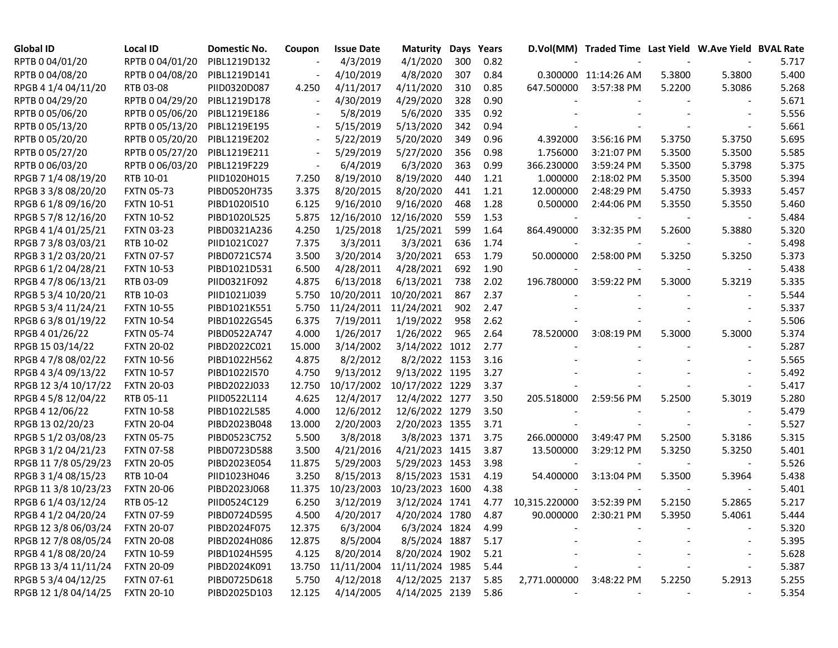| <b>Global ID</b>     | Local ID          | Domestic No. | Coupon | <b>Issue Date</b> | Maturity        | Days | Years |               | D.Vol(MM) Traded Time Last Yield W.Ave Yield BVAL Rate |        |                          |       |
|----------------------|-------------------|--------------|--------|-------------------|-----------------|------|-------|---------------|--------------------------------------------------------|--------|--------------------------|-------|
| RPTB 0 04/01/20      | RPTB 0 04/01/20   | PIBL1219D132 |        | 4/3/2019          | 4/1/2020        | 300  | 0.82  |               |                                                        |        |                          | 5.717 |
| RPTB 0 04/08/20      | RPTB 0 04/08/20   | PIBL1219D141 |        | 4/10/2019         | 4/8/2020        | 307  | 0.84  |               | 0.300000 11:14:26 AM                                   | 5.3800 | 5.3800                   | 5.400 |
| RPGB 4 1/4 04/11/20  | RTB 03-08         | PIID0320D087 | 4.250  | 4/11/2017         | 4/11/2020       | 310  | 0.85  | 647.500000    | 3:57:38 PM                                             | 5.2200 | 5.3086                   | 5.268 |
| RPTB 0 04/29/20      | RPTB 0 04/29/20   | PIBL1219D178 |        | 4/30/2019         | 4/29/2020       | 328  | 0.90  |               |                                                        |        |                          | 5.671 |
| RPTB 0 05/06/20      | RPTB 0 05/06/20   | PIBL1219E186 |        | 5/8/2019          | 5/6/2020        | 335  | 0.92  |               |                                                        |        |                          | 5.556 |
| RPTB 0 05/13/20      | RPTB 0 05/13/20   | PIBL1219E195 |        | 5/15/2019         | 5/13/2020       | 342  | 0.94  |               |                                                        |        | $\overline{\phantom{a}}$ | 5.661 |
| RPTB 0 05/20/20      | RPTB 0 05/20/20   | PIBL1219E202 |        | 5/22/2019         | 5/20/2020       | 349  | 0.96  | 4.392000      | 3:56:16 PM                                             | 5.3750 | 5.3750                   | 5.695 |
| RPTB 0 05/27/20      | RPTB 0 05/27/20   | PIBL1219E211 |        | 5/29/2019         | 5/27/2020       | 356  | 0.98  | 1.756000      | 3:21:07 PM                                             | 5.3500 | 5.3500                   | 5.585 |
| RPTB 0 06/03/20      | RPTB 0 06/03/20   | PIBL1219F229 |        | 6/4/2019          | 6/3/2020        | 363  | 0.99  | 366.230000    | 3:59:24 PM                                             | 5.3500 | 5.3798                   | 5.375 |
| RPGB 7 1/4 08/19/20  | RTB 10-01         | PIID1020H015 | 7.250  | 8/19/2010         | 8/19/2020       | 440  | 1.21  | 1.000000      | 2:18:02 PM                                             | 5.3500 | 5.3500                   | 5.394 |
| RPGB 3 3/8 08/20/20  | <b>FXTN 05-73</b> | PIBD0520H735 | 3.375  | 8/20/2015         | 8/20/2020       | 441  | 1.21  | 12.000000     | 2:48:29 PM                                             | 5.4750 | 5.3933                   | 5.457 |
| RPGB 6 1/8 09/16/20  | <b>FXTN 10-51</b> | PIBD1020I510 | 6.125  | 9/16/2010         | 9/16/2020       | 468  | 1.28  | 0.500000      | 2:44:06 PM                                             | 5.3550 | 5.3550                   | 5.460 |
| RPGB 5 7/8 12/16/20  | <b>FXTN 10-52</b> | PIBD1020L525 | 5.875  | 12/16/2010        | 12/16/2020      | 559  | 1.53  |               |                                                        |        |                          | 5.484 |
| RPGB 4 1/4 01/25/21  | <b>FXTN 03-23</b> | PIBD0321A236 | 4.250  | 1/25/2018         | 1/25/2021       | 599  | 1.64  | 864.490000    | 3:32:35 PM                                             | 5.2600 | 5.3880                   | 5.320 |
| RPGB 7 3/8 03/03/21  | RTB 10-02         | PIID1021C027 | 7.375  | 3/3/2011          | 3/3/2021        | 636  | 1.74  |               |                                                        |        |                          | 5.498 |
| RPGB 3 1/2 03/20/21  | <b>FXTN 07-57</b> | PIBD0721C574 | 3.500  | 3/20/2014         | 3/20/2021       | 653  | 1.79  | 50.000000     | 2:58:00 PM                                             | 5.3250 | 5.3250                   | 5.373 |
| RPGB 6 1/2 04/28/21  | <b>FXTN 10-53</b> | PIBD1021D531 | 6.500  | 4/28/2011         | 4/28/2021       | 692  | 1.90  |               |                                                        |        | $\overline{\phantom{a}}$ | 5.438 |
| RPGB 4 7/8 06/13/21  | RTB 03-09         | PIID0321F092 | 4.875  | 6/13/2018         | 6/13/2021       | 738  | 2.02  | 196.780000    | 3:59:22 PM                                             | 5.3000 | 5.3219                   | 5.335 |
| RPGB 5 3/4 10/20/21  | RTB 10-03         | PIID1021J039 | 5.750  | 10/20/2011        | 10/20/2021      | 867  | 2.37  |               |                                                        |        |                          | 5.544 |
| RPGB 5 3/4 11/24/21  | <b>FXTN 10-55</b> | PIBD1021K551 | 5.750  | 11/24/2011        | 11/24/2021      | 902  | 2.47  |               |                                                        |        |                          | 5.337 |
| RPGB 63/8 01/19/22   | <b>FXTN 10-54</b> | PIBD1022G545 | 6.375  | 7/19/2011         | 1/19/2022       | 958  | 2.62  |               |                                                        |        |                          | 5.506 |
| RPGB 4 01/26/22      | <b>FXTN 05-74</b> | PIBD0522A747 | 4.000  | 1/26/2017         | 1/26/2022       | 965  | 2.64  | 78.520000     | 3:08:19 PM                                             | 5.3000 | 5.3000                   | 5.374 |
| RPGB 15 03/14/22     | <b>FXTN 20-02</b> | PIBD2022C021 | 15.000 | 3/14/2002         | 3/14/2022 1012  |      | 2.77  |               |                                                        |        |                          | 5.287 |
| RPGB 4 7/8 08/02/22  | <b>FXTN 10-56</b> | PIBD1022H562 | 4.875  | 8/2/2012          | 8/2/2022 1153   |      | 3.16  |               |                                                        |        |                          | 5.565 |
| RPGB 4 3/4 09/13/22  | <b>FXTN 10-57</b> | PIBD1022I570 | 4.750  | 9/13/2012         | 9/13/2022 1195  |      | 3.27  |               |                                                        |        |                          | 5.492 |
| RPGB 12 3/4 10/17/22 | <b>FXTN 20-03</b> | PIBD2022J033 | 12.750 | 10/17/2002        | 10/17/2022 1229 |      | 3.37  |               |                                                        |        |                          | 5.417 |
| RPGB 4 5/8 12/04/22  | RTB 05-11         | PIID0522L114 | 4.625  | 12/4/2017         | 12/4/2022 1277  |      | 3.50  | 205.518000    | 2:59:56 PM                                             | 5.2500 | 5.3019                   | 5.280 |
| RPGB 4 12/06/22      | <b>FXTN 10-58</b> | PIBD1022L585 | 4.000  | 12/6/2012         | 12/6/2022 1279  |      | 3.50  |               |                                                        |        |                          | 5.479 |
| RPGB 13 02/20/23     | <b>FXTN 20-04</b> | PIBD2023B048 | 13.000 | 2/20/2003         | 2/20/2023 1355  |      | 3.71  |               |                                                        |        |                          | 5.527 |
| RPGB 5 1/2 03/08/23  | <b>FXTN 05-75</b> | PIBD0523C752 | 5.500  | 3/8/2018          | 3/8/2023 1371   |      | 3.75  | 266.000000    | 3:49:47 PM                                             | 5.2500 | 5.3186                   | 5.315 |
| RPGB 3 1/2 04/21/23  | <b>FXTN 07-58</b> | PIBD0723D588 | 3.500  | 4/21/2016         | 4/21/2023 1415  |      | 3.87  | 13.500000     | 3:29:12 PM                                             | 5.3250 | 5.3250                   | 5.401 |
| RPGB 11 7/8 05/29/23 | <b>FXTN 20-05</b> | PIBD2023E054 | 11.875 | 5/29/2003         | 5/29/2023 1453  |      | 3.98  |               |                                                        |        |                          | 5.526 |
| RPGB 3 1/4 08/15/23  | RTB 10-04         | PIID1023H046 | 3.250  | 8/15/2013         | 8/15/2023 1531  |      | 4.19  | 54.400000     | 3:13:04 PM                                             | 5.3500 | 5.3964                   | 5.438 |
| RPGB 11 3/8 10/23/23 | <b>FXTN 20-06</b> | PIBD2023J068 | 11.375 | 10/23/2003        | 10/23/2023 1600 |      | 4.38  |               |                                                        |        |                          | 5.401 |
| RPGB 6 1/4 03/12/24  | RTB 05-12         | PIID0524C129 | 6.250  | 3/12/2019         | 3/12/2024 1741  |      | 4.77  | 10,315.220000 | 3:52:39 PM                                             | 5.2150 | 5.2865                   | 5.217 |
| RPGB 4 1/2 04/20/24  | <b>FXTN 07-59</b> | PIBD0724D595 | 4.500  | 4/20/2017         | 4/20/2024 1780  |      | 4.87  | 90.000000     | 2:30:21 PM                                             | 5.3950 | 5.4061                   | 5.444 |
| RPGB 12 3/8 06/03/24 | <b>FXTN 20-07</b> | PIBD2024F075 | 12.375 | 6/3/2004          | 6/3/2024 1824   |      | 4.99  |               |                                                        |        |                          | 5.320 |
| RPGB 12 7/8 08/05/24 | <b>FXTN 20-08</b> | PIBD2024H086 | 12.875 | 8/5/2004          | 8/5/2024 1887   |      | 5.17  |               |                                                        |        |                          | 5.395 |
| RPGB 4 1/8 08/20/24  | <b>FXTN 10-59</b> | PIBD1024H595 | 4.125  | 8/20/2014         | 8/20/2024 1902  |      | 5.21  |               |                                                        |        |                          | 5.628 |
| RPGB 13 3/4 11/11/24 | <b>FXTN 20-09</b> | PIBD2024K091 | 13.750 | 11/11/2004        | 11/11/2024 1985 |      | 5.44  |               |                                                        |        |                          | 5.387 |
| RPGB 5 3/4 04/12/25  | <b>FXTN 07-61</b> | PIBD0725D618 | 5.750  | 4/12/2018         | 4/12/2025 2137  |      | 5.85  | 2,771.000000  | 3:48:22 PM                                             | 5.2250 | 5.2913                   | 5.255 |
| RPGB 12 1/8 04/14/25 | <b>FXTN 20-10</b> | PIBD2025D103 | 12.125 | 4/14/2005         | 4/14/2025 2139  |      | 5.86  |               |                                                        |        |                          | 5.354 |